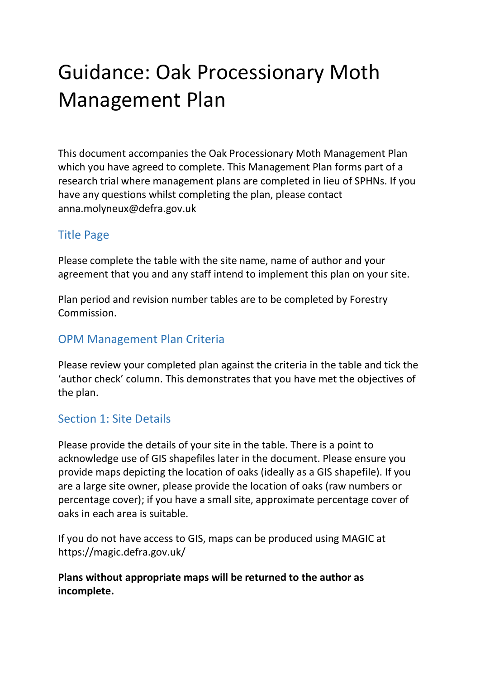# Guidance: Oak Processionary Moth Management Plan

This document accompanies the Oak Processionary Moth Management Plan which you have agreed to complete. This Management Plan forms part of a research trial where management plans are completed in lieu of SPHNs. If you have any questions whilst completing the plan, please contact anna.molyneux@defra.gov.uk

# Title Page

Please complete the table with the site name, name of author and your agreement that you and any staff intend to implement this plan on your site.

Plan period and revision number tables are to be completed by Forestry Commission.

## OPM Management Plan Criteria

Please review your completed plan against the criteria in the table and tick the 'author check' column. This demonstrates that you have met the objectives of the plan.

## Section 1: Site Details

Please provide the details of your site in the table. There is a point to acknowledge use of GIS shapefiles later in the document. Please ensure you provide maps depicting the location of oaks (ideally as a GIS shapefile). If you are a large site owner, please provide the location of oaks (raw numbers or percentage cover); if you have a small site, approximate percentage cover of oaks in each area is suitable.

If you do not have access to GIS, maps can be produced using MAGIC at https://magic.defra.gov.uk/

Plans without appropriate maps will be returned to the author as incomplete.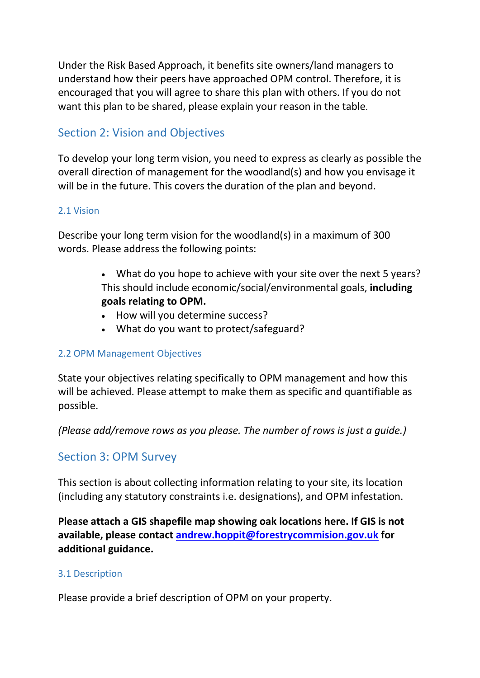Under the Risk Based Approach, it benefits site owners/land managers to understand how their peers have approached OPM control. Therefore, it is encouraged that you will agree to share this plan with others. If you do not want this plan to be shared, please explain your reason in the table.

# Section 2: Vision and Objectives

To develop your long term vision, you need to express as clearly as possible the overall direction of management for the woodland(s) and how you envisage it will be in the future. This covers the duration of the plan and beyond.

### 2.1 Vision

Describe your long term vision for the woodland(s) in a maximum of 300 words. Please address the following points:

- What do you hope to achieve with your site over the next 5 years? This should include economic/social/environmental goals, including goals relating to OPM.
- How will you determine success?
- What do you want to protect/safeguard?

## 2.2 OPM Management Objectives

State your objectives relating specifically to OPM management and how this will be achieved. Please attempt to make them as specific and quantifiable as possible.

(Please add/remove rows as you please. The number of rows is just a guide.)

## Section 3: OPM Survey

This section is about collecting information relating to your site, its location (including any statutory constraints i.e. designations), and OPM infestation.

Please attach a GIS shapefile map showing oak locations here. If GIS is not available, please contact andrew.hoppit@forestrycommision.gov.uk for additional guidance.

## 3.1 Description

Please provide a brief description of OPM on your property.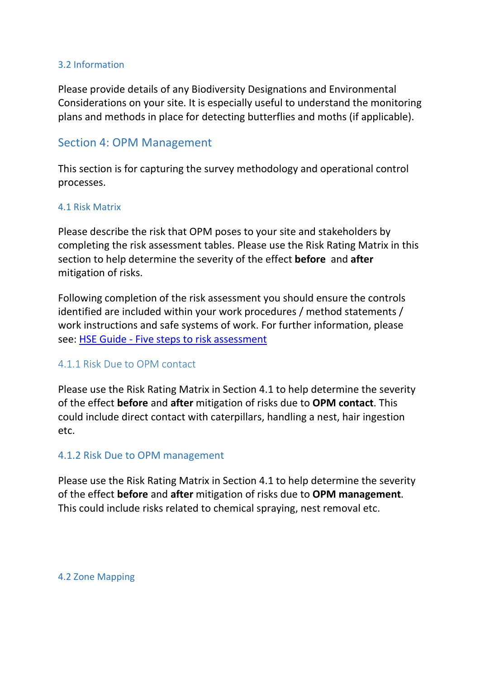#### 3.2 Information

Please provide details of any Biodiversity Designations and Environmental Considerations on your site. It is especially useful to understand the monitoring plans and methods in place for detecting butterflies and moths (if applicable).

## Section 4: OPM Management

This section is for capturing the survey methodology and operational control processes.

#### 4.1 Risk Matrix

Please describe the risk that OPM poses to your site and stakeholders by completing the risk assessment tables. Please use the Risk Rating Matrix in this section to help determine the severity of the effect before and after mitigation of risks.

Following completion of the risk assessment you should ensure the controls identified are included within your work procedures / method statements / work instructions and safe systems of work. For further information, please see: HSE Guide - Five steps to risk assessment

## 4.1.1 Risk Due to OPM contact

Please use the Risk Rating Matrix in Section 4.1 to help determine the severity of the effect before and after mitigation of risks due to OPM contact. This could include direct contact with caterpillars, handling a nest, hair ingestion etc.

## 4.1.2 Risk Due to OPM management

Please use the Risk Rating Matrix in Section 4.1 to help determine the severity of the effect before and after mitigation of risks due to OPM management. This could include risks related to chemical spraying, nest removal etc.

4.2 Zone Mapping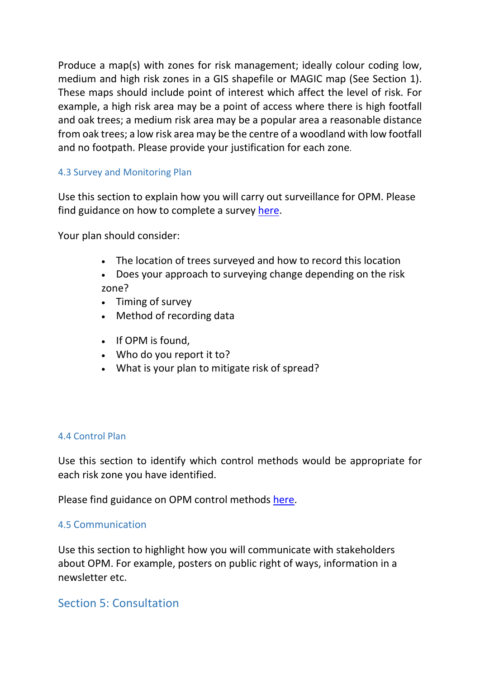Produce a map(s) with zones for risk management; ideally colour coding low, medium and high risk zones in a GIS shapefile or MAGIC map (See Section 1). These maps should include point of interest which affect the level of risk. For example, a high risk area may be a point of access where there is high footfall and oak trees; a medium risk area may be a popular area a reasonable distance from oak trees; a low risk area may be the centre of a woodland with low footfall and no footpath. Please provide your justification for each zone.

## 4.3 Survey and Monitoring Plan

Use this section to explain how you will carry out surveillance for OPM. Please find guidance on how to complete a survey here.

Your plan should consider:

- The location of trees surveyed and how to record this location
- Does your approach to surveying change depending on the risk zone?
- Timing of survey
- Method of recording data
- If OPM is found.
- Who do you report it to?
- What is your plan to mitigate risk of spread?

#### 4.4 Control Plan

Use this section to identify which control methods would be appropriate for each risk zone you have identified.

Please find guidance on OPM control methods here.

#### 4.5 Communication

Use this section to highlight how you will communicate with stakeholders about OPM. For example, posters on public right of ways, information in a newsletter etc.

## Section 5: Consultation